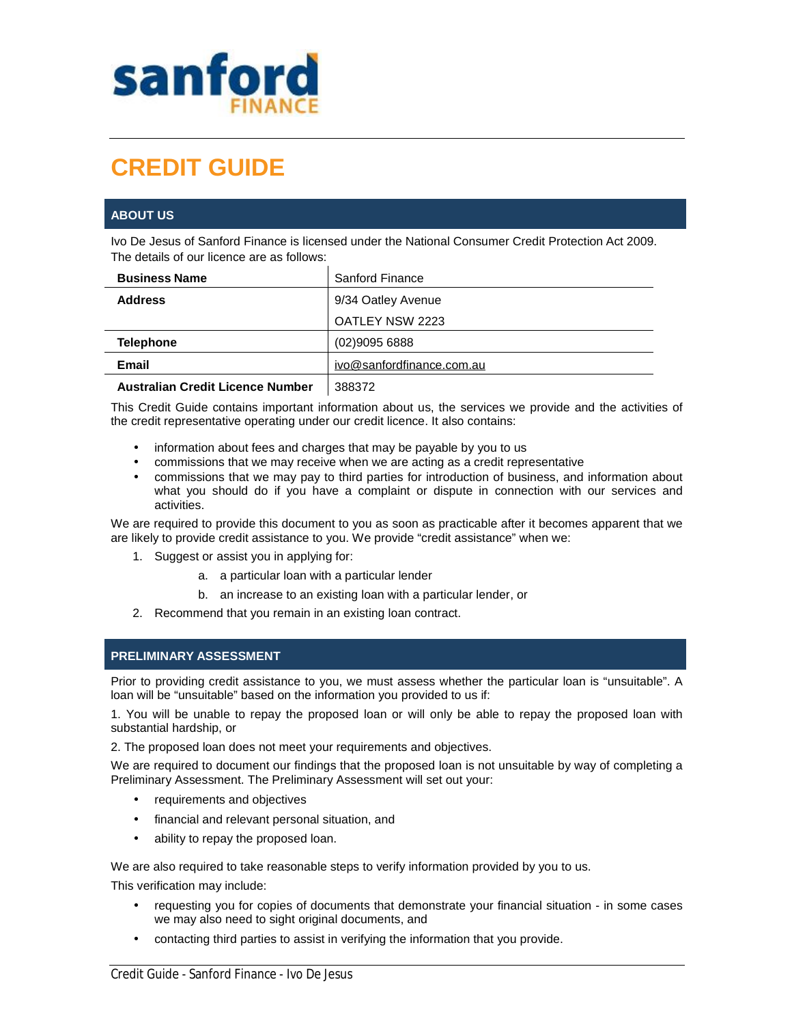

# **CREDIT GUIDE**

# **ABOUT US**

Ivo De Jesus of Sanford Finance is licensed under the National Consumer Credit Protection Act 2009. The details of our licence are as follows:

| <b>Business Name</b> | <b>Sanford Finance</b>    |
|----------------------|---------------------------|
| <b>Address</b>       | 9/34 Oatley Avenue        |
|                      | OATLEY NSW 2223           |
| <b>Telephone</b>     | (02)90956888              |
| Email                | ivo@sanfordfinance.com.au |
| .                    | ------                    |

**Australian Credit Licence Number** 388372

This Credit Guide contains important information about us, the services we provide and the activities of the credit representative operating under our credit licence. It also contains:

- information about fees and charges that may be payable by you to us
- commissions that we may receive when we are acting as a credit representative
- commissions that we may pay to third parties for introduction of business, and information about what you should do if you have a complaint or dispute in connection with our services and activities.

We are required to provide this document to you as soon as practicable after it becomes apparent that we are likely to provide credit assistance to you. We provide "credit assistance" when we:

- 1. Suggest or assist you in applying for:
	- a. a particular loan with a particular lender
	- b. an increase to an existing loan with a particular lender, or
- 2. Recommend that you remain in an existing loan contract.

# **PRELIMINARY ASSESSMENT**

Prior to providing credit assistance to you, we must assess whether the particular loan is "unsuitable". A loan will be "unsuitable" based on the information you provided to us if:

1. You will be unable to repay the proposed loan or will only be able to repay the proposed loan with substantial hardship, or

2. The proposed loan does not meet your requirements and objectives.

We are required to document our findings that the proposed loan is not unsuitable by way of completing a Preliminary Assessment. The Preliminary Assessment will set out your:

- requirements and objectives
- financial and relevant personal situation, and
- ability to repay the proposed loan.

We are also required to take reasonable steps to verify information provided by you to us.

This verification may include:

- requesting you for copies of documents that demonstrate your financial situation in some cases we may also need to sight original documents, and
- contacting third parties to assist in verifying the information that you provide.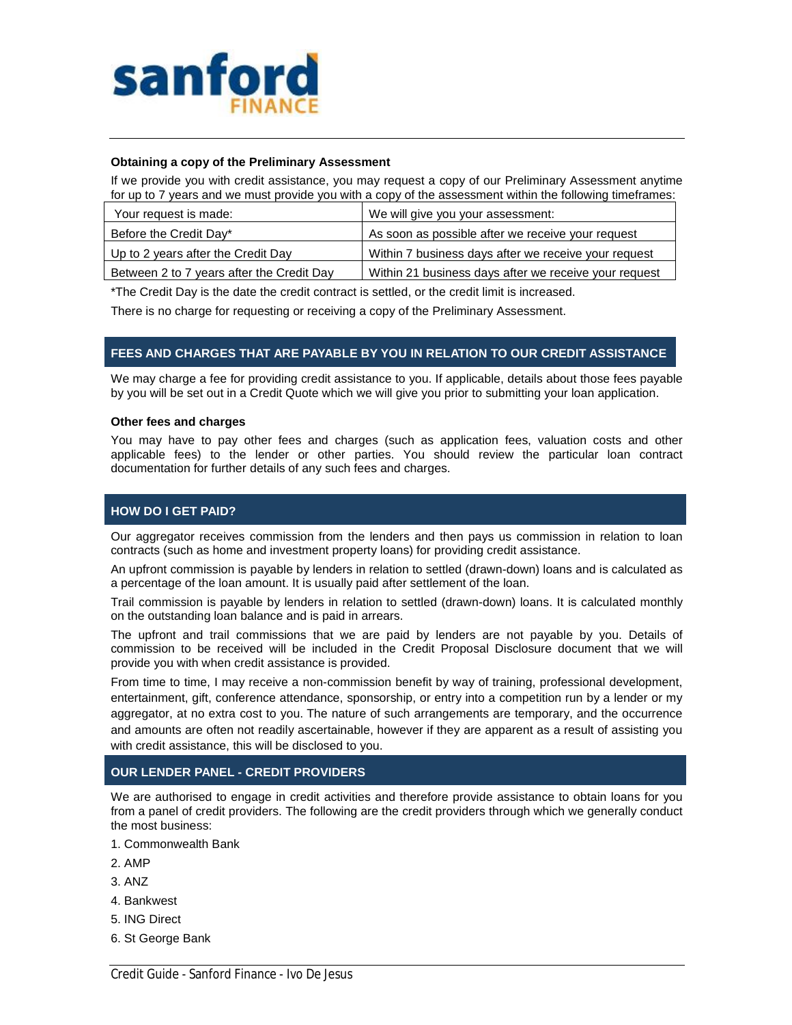

#### **Obtaining a copy of the Preliminary Assessment**

If we provide you with credit assistance, you may request a copy of our Preliminary Assessment anytime for up to 7 years and we must provide you with a copy of the assessment within the following timeframes:

| Your request is made:                     | We will give you your assessment:                     |
|-------------------------------------------|-------------------------------------------------------|
| Before the Credit Day*                    | As soon as possible after we receive your request     |
| Up to 2 years after the Credit Day        | Within 7 business days after we receive your request  |
| Between 2 to 7 years after the Credit Day | Within 21 business days after we receive your request |

\*The Credit Day is the date the credit contract is settled, or the credit limit is increased.

There is no charge for requesting or receiving a copy of the Preliminary Assessment.

## **FEES AND CHARGES THAT ARE PAYABLE BY YOU IN RELATION TO OUR CREDIT ASSISTANCE**

We may charge a fee for providing credit assistance to you. If applicable, details about those fees payable by you will be set out in a Credit Quote which we will give you prior to submitting your loan application.

#### **Other fees and charges**

You may have to pay other fees and charges (such as application fees, valuation costs and other applicable fees) to the lender or other parties. You should review the particular loan contract documentation for further details of any such fees and charges.

## **HOW DO I GET PAID?**

Our aggregator receives commission from the lenders and then pays us commission in relation to loan contracts (such as home and investment property loans) for providing credit assistance.

An upfront commission is payable by lenders in relation to settled (drawn-down) loans and is calculated as a percentage of the loan amount. It is usually paid after settlement of the loan.

Trail commission is payable by lenders in relation to settled (drawn-down) loans. It is calculated monthly on the outstanding loan balance and is paid in arrears.

The upfront and trail commissions that we are paid by lenders are not payable by you. Details of commission to be received will be included in the Credit Proposal Disclosure document that we will provide you with when credit assistance is provided.

From time to time, I may receive a non-commission benefit by way of training, professional development, entertainment, gift, conference attendance, sponsorship, or entry into a competition run by a lender or my aggregator, at no extra cost to you. The nature of such arrangements are temporary, and the occurrence and amounts are often not readily ascertainable, however if they are apparent as a result of assisting you with credit assistance, this will be disclosed to you.

## **OUR LENDER PANEL - CREDIT PROVIDERS**

We are authorised to engage in credit activities and therefore provide assistance to obtain loans for you from a panel of credit providers. The following are the credit providers through which we generally conduct the most business:

- 1. Commonwealth Bank
- 2. AMP
- 3. ANZ
- 4. Bankwest
- 5. ING Direct
- 6. St George Bank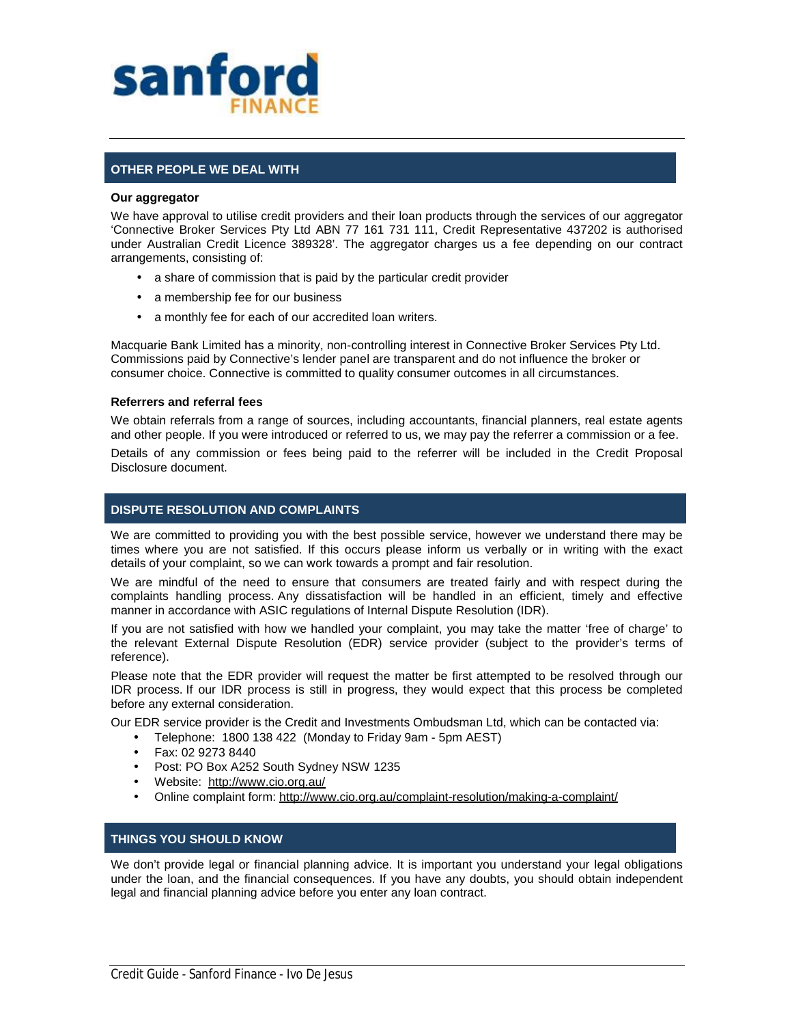

# **OTHER PEOPLE WE DEAL WITH**

#### **Our aggregator**

We have approval to utilise credit providers and their loan products through the services of our aggregator 'Connective Broker Services Pty Ltd ABN 77 161 731 111, Credit Representative 437202 is authorised under Australian Credit Licence 389328'. The aggregator charges us a fee depending on our contract arrangements, consisting of:

- a share of commission that is paid by the particular credit provider
- a membership fee for our business
- a monthly fee for each of our accredited loan writers.

Macquarie Bank Limited has a minority, non-controlling interest in Connective Broker Services Pty Ltd. Commissions paid by Connective's lender panel are transparent and do not influence the broker or consumer choice. Connective is committed to quality consumer outcomes in all circumstances.

## **Referrers and referral fees**

We obtain referrals from a range of sources, including accountants, financial planners, real estate agents and other people. If you were introduced or referred to us, we may pay the referrer a commission or a fee.

Details of any commission or fees being paid to the referrer will be included in the Credit Proposal Disclosure document.

## **DISPUTE RESOLUTION AND COMPLAINTS**

We are committed to providing you with the best possible service, however we understand there may be times where you are not satisfied. If this occurs please inform us verbally or in writing with the exact details of your complaint, so we can work towards a prompt and fair resolution.

We are mindful of the need to ensure that consumers are treated fairly and with respect during the complaints handling process. Any dissatisfaction will be handled in an efficient, timely and effective manner in accordance with ASIC regulations of Internal Dispute Resolution (IDR).

If you are not satisfied with how we handled your complaint, you may take the matter 'free of charge' to the relevant External Dispute Resolution (EDR) service provider (subject to the provider's terms of reference).

Please note that the EDR provider will request the matter be first attempted to be resolved through our IDR process. If our IDR process is still in progress, they would expect that this process be completed before any external consideration.

Our EDR service provider is the Credit and Investments Ombudsman Ltd, which can be contacted via:

- Telephone: 1800 138 422 (Monday to Friday 9am 5pm AEST)
- Fax: 02 9273 8440
- Post: PO Box A252 South Sydney NSW 1235
- Website: <http://www.cio.org.au/>
- Online complaint form:<http://www.cio.org.au/complaint-resolution/making-a-complaint/>

## **THINGS YOU SHOULD KNOW**

We don't provide legal or financial planning advice. It is important you understand your legal obligations under the loan, and the financial consequences. If you have any doubts, you should obtain independent legal and financial planning advice before you enter any loan contract.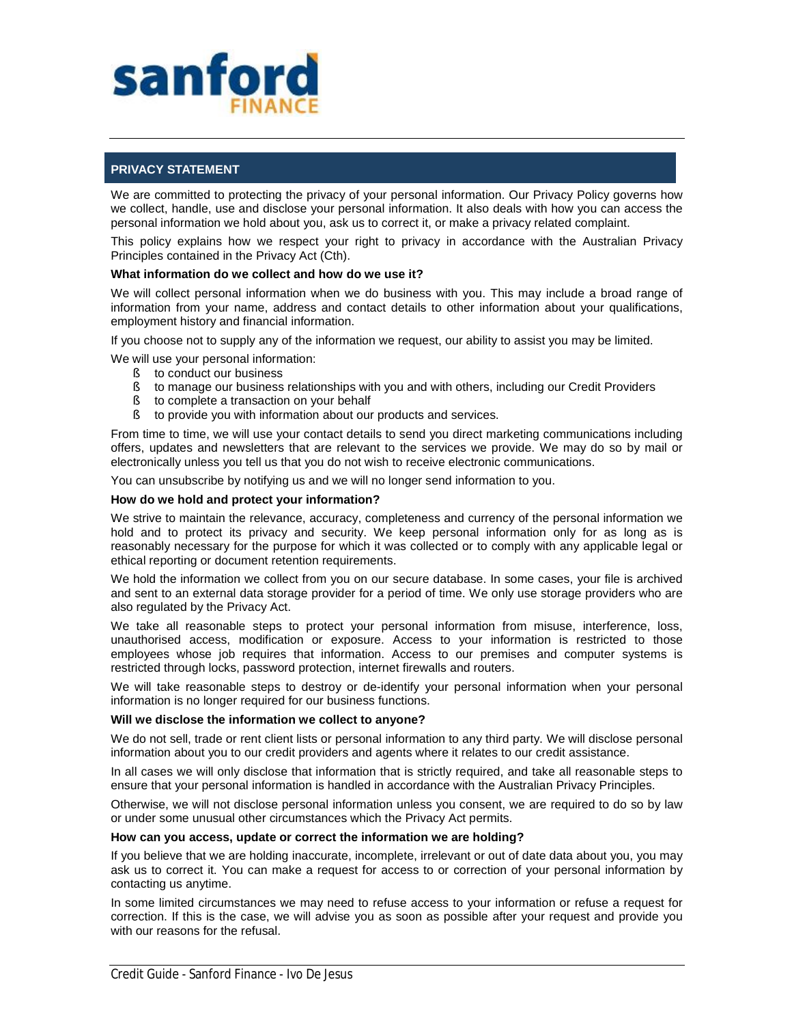

# **PRIVACY STATEMENT**

We are committed to protecting the privacy of your personal information. Our Privacy Policy governs how we collect, handle, use and disclose your personal information. It also deals with how you can access the personal information we hold about you, ask us to correct it, or make a privacy related complaint.

This policy explains how we respect your right to privacy in accordance with the Australian Privacy Principles contained in the Privacy Act (Cth).

## **What information do we collect and how do we use it?**

We will collect personal information when we do business with you. This may include a broad range of information from your name, address and contact details to other information about your qualifications, employment history and financial information.

If you choose not to supply any of the information we request, our ability to assist you may be limited.

- We will use your personal information:
	- § to conduct our business
	- § to manage our business relationships with you and with others, including our Credit Providers
	- § to complete a transaction on your behalf
	- § to provide you with information about our products and services.

From time to time, we will use your contact details to send you direct marketing communications including offers, updates and newsletters that are relevant to the services we provide. We may do so by mail or electronically unless you tell us that you do not wish to receive electronic communications.

You can unsubscribe by notifying us and we will no longer send information to you.

## **How do we hold and protect your information?**

We strive to maintain the relevance, accuracy, completeness and currency of the personal information we hold and to protect its privacy and security. We keep personal information only for as long as is reasonably necessary for the purpose for which it was collected or to comply with any applicable legal or ethical reporting or document retention requirements.

We hold the information we collect from you on our secure database. In some cases, your file is archived and sent to an external data storage provider for a period of time. We only use storage providers who are also regulated by the Privacy Act.

We take all reasonable steps to protect your personal information from misuse, interference, loss, unauthorised access, modification or exposure. Access to your information is restricted to those employees whose job requires that information. Access to our premises and computer systems is restricted through locks, password protection, internet firewalls and routers.

We will take reasonable steps to destroy or de-identify your personal information when your personal information is no longer required for our business functions.

## **Will we disclose the information we collect to anyone?**

We do not sell, trade or rent client lists or personal information to any third party. We will disclose personal information about you to our credit providers and agents where it relates to our credit assistance.

In all cases we will only disclose that information that is strictly required, and take all reasonable steps to ensure that your personal information is handled in accordance with the Australian Privacy Principles.

Otherwise, we will not disclose personal information unless you consent, we are required to do so by law or under some unusual other circumstances which the Privacy Act permits.

#### **How can you access, update or correct the information we are holding?**

If you believe that we are holding inaccurate, incomplete, irrelevant or out of date data about you, you may ask us to correct it. You can make a request for access to or correction of your personal information by contacting us anytime.

In some limited circumstances we may need to refuse access to your information or refuse a request for correction. If this is the case, we will advise you as soon as possible after your request and provide you with our reasons for the refusal.